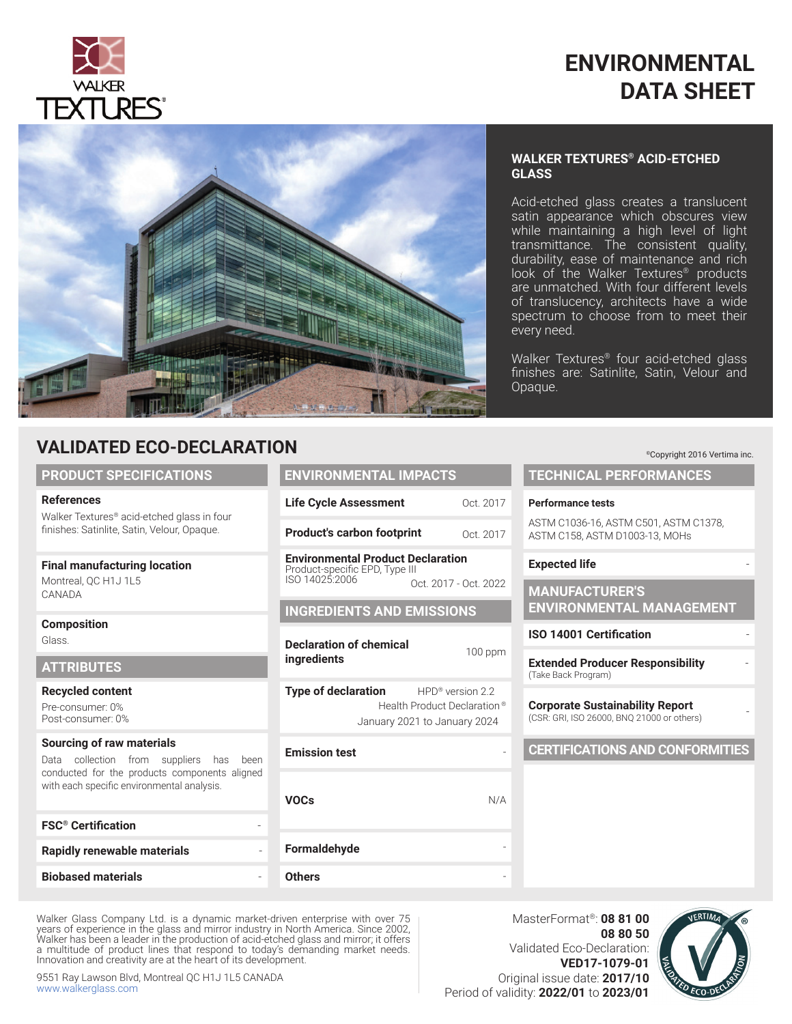

### **ENVIRONMENTAL DATA SHEET**

Acid-etched glass creates a translucent satin appearance which obscures view while maintaining a high level of light transmittance. The consistent quality, durability, ease of maintenance and rich look of the Walker Textures® products are unmatched. With four different levels of translucency, architects have a wide spectrum to choose from to meet their

**WALKER TEXTURES® ACID-ETCHED** 

Walker Textures® four acid-etched glass finishes are: Satinlite, Satin, Velour and

every need.

**GLASS**

Opaque.



### **VALIDATED ECO-DECLARATION**

#### **PRODUCT SPECIFICATIONS**

#### **References**

Walker Textures® acid-etched glass in four finishes: Satinlite, Satin, Velour, Opaque.

#### **Final manufacturing location**

Montreal, QC H1J 1L5 CANADA

#### **Composition**

Glass.

#### **ATTRIBUTES**

**Recycled content**

Pre-consumer: 0% Post-consumer: 0%

#### **Sourcing of raw materials**

Data collection from suppliers has been conducted for the products components aligned with each specific environmental analysis.

| <b>FSC<sup>®</sup></b> Certification |  |
|--------------------------------------|--|
| <b>Rapidly renewable materials</b>   |  |
| <b>Biobased materials</b>            |  |

#### **ENVIRONMENTAL IMPACTS Life Cycle Assessment Product's carbon footprint Environmental Product Declaration** Oct. 2017 Oct. 2017

Product-specific EPD, Type III ISO 14025:2006

#### **INGREDIENTS AND EMISSIONS**

**Declaration of chemical ingredients** 

January 2021 to January 2024

**Emission test** 

100 ppm **Type of declaration** HPD® version 2.2 Health Product Declaration ® Oct. 2017 - Oct. 2022

N/A

**VOCs Formaldehyde** -

#### **Others** -

MasterFormat®: **08 81 00 08 80 50** Validated Eco-Declaration: **VED17-1079-01** Original issue date: **2017/10** Period of validity: **2022/01** to **2023/01**



# **TECHNICAL PERFORMANCES Performance tests** ASTM C1036-16, ASTM C501, ASTM C1378, ASTM C158, ASTM D1003-13, MOHs **Expected life MANUFACTURER'S ENVIRONMENTAL MANAGEMENT ISO 14001 Certification Extended Producer Responsibility** - (Take Back Program) **Corporate Sustainability Report** (CSR: GRI, ISO 26000, BNQ 21000 or others) - **CERTIFICATIONS AND CONFORMITIES**

9551 Ray Lawson Blvd, Montreal QC H1J 1L5 CANADA www.walkerglass.com

Innovation and creativity are at the heart of its development.

Walker Glass Company Ltd. is a dynamic market-driven enterprise with over 75 years of experience in the glass and mirror industry in North America. Since 2002, Walker has been a leader in the production of acid-etched glass and mirror; it offers a multitude of product lines that respond to today's demanding market needs.